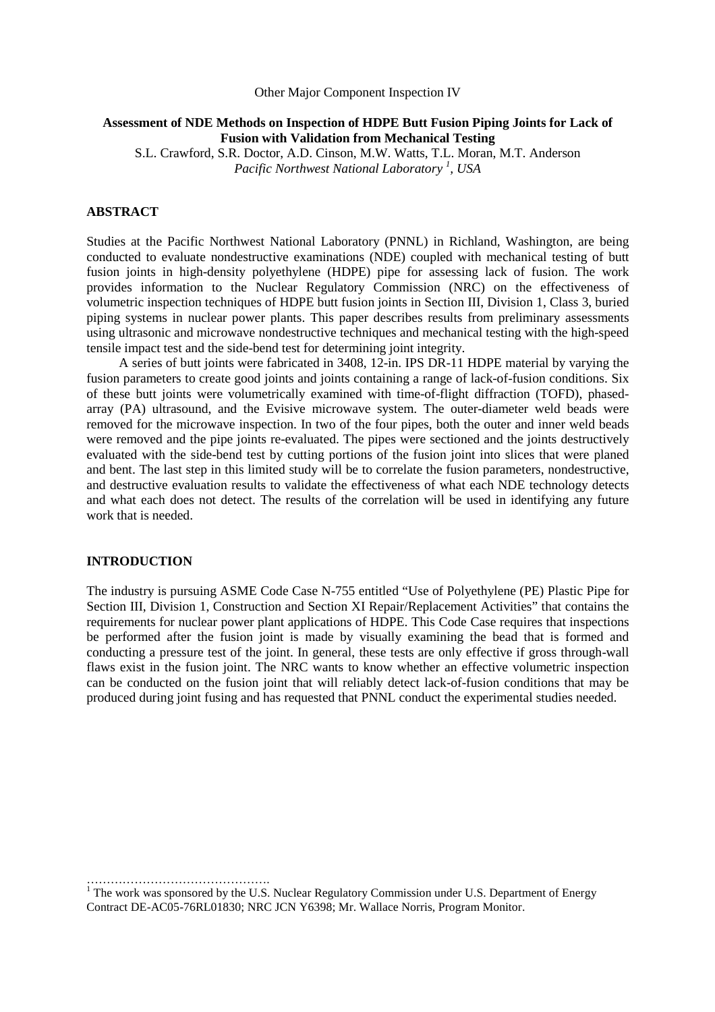# Other Major Component Inspection IV

# **Assessment of NDE Methods on Inspection of HDPE Butt Fusion Piping Joints for Lack of Fusion with Validation from Mechanical Testing**

S.L. Crawford, S.R. Doctor, A.D. Cinson, M.W. Watts, T.L. Moran, M.T. Anderson *Pacific Northwest National Laboratory <sup>1</sup> , USA* 

### **ABSTRACT**

Studies at the Pacific Northwest National Laboratory (PNNL) in Richland, Washington, are being conducted to evaluate nondestructive examinations (NDE) coupled with mechanical testing of butt fusion joints in high-density polyethylene (HDPE) pipe for assessing lack of fusion. The work provides information to the Nuclear Regulatory Commission (NRC) on the effectiveness of volumetric inspection techniques of HDPE butt fusion joints in Section III, Division 1, Class 3, buried piping systems in nuclear power plants. This paper describes results from preliminary assessments using ultrasonic and microwave nondestructive techniques and mechanical testing with the high-speed tensile impact test and the side-bend test for determining joint integrity.

A series of butt joints were fabricated in 3408, 12-in. IPS DR-11 HDPE material by varying the fusion parameters to create good joints and joints containing a range of lack-of-fusion conditions. Six of these butt joints were volumetrically examined with time-of-flight diffraction (TOFD), phasedarray (PA) ultrasound, and the Evisive microwave system. The outer-diameter weld beads were removed for the microwave inspection. In two of the four pipes, both the outer and inner weld beads were removed and the pipe joints re-evaluated. The pipes were sectioned and the joints destructively evaluated with the side-bend test by cutting portions of the fusion joint into slices that were planed and bent. The last step in this limited study will be to correlate the fusion parameters, nondestructive, and destructive evaluation results to validate the effectiveness of what each NDE technology detects and what each does not detect. The results of the correlation will be used in identifying any future work that is needed.

### **INTRODUCTION**

……………………………………….

The industry is pursuing ASME Code Case N-755 entitled "Use of Polyethylene (PE) Plastic Pipe for Section III, Division 1, Construction and Section XI Repair/Replacement Activities" that contains the requirements for nuclear power plant applications of HDPE. This Code Case requires that inspections be performed after the fusion joint is made by visually examining the bead that is formed and conducting a pressure test of the joint. In general, these tests are only effective if gross through-wall flaws exist in the fusion joint. The NRC wants to know whether an effective volumetric inspection can be conducted on the fusion joint that will reliably detect lack-of-fusion conditions that may be produced during joint fusing and has requested that PNNL conduct the experimental studies needed.

<sup>1</sup> The work was sponsored by the U.S. Nuclear Regulatory Commission under U.S. Department of Energy Contract DE-AC05-76RL01830; NRC JCN Y6398; Mr. Wallace Norris, Program Monitor.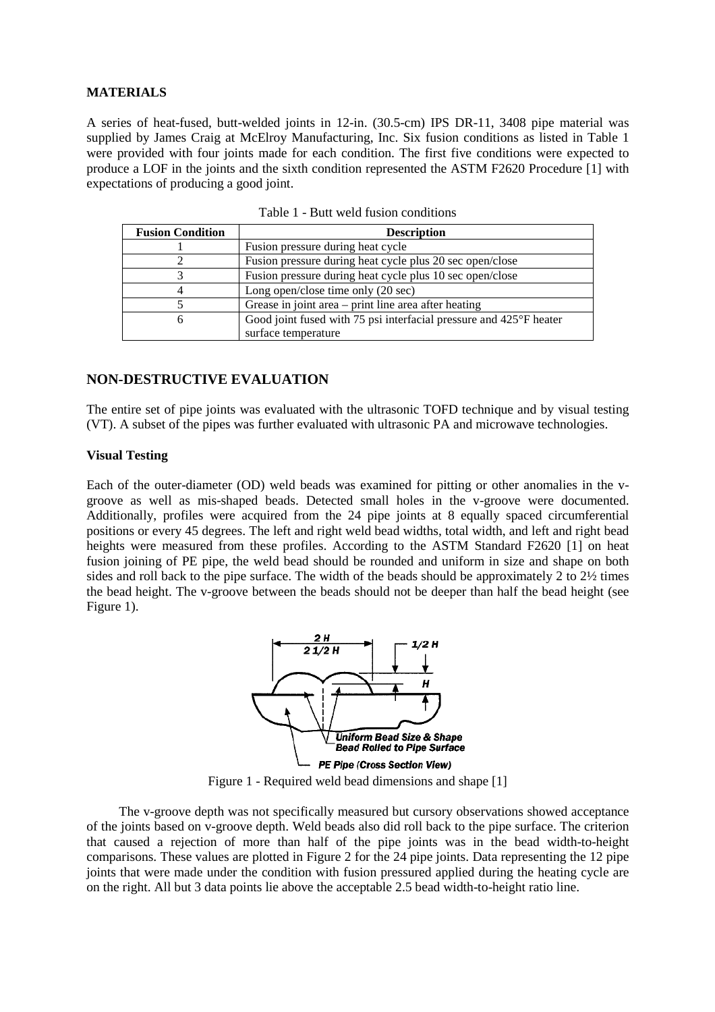### **MATERIALS**

A series of heat-fused, butt-welded joints in 12-in. (30.5-cm) IPS DR-11, 3408 pipe material was supplied by James Craig at McElroy Manufacturing, Inc. Six fusion conditions as listed in Table 1 were provided with four joints made for each condition. The first five conditions were expected to produce a LOF in the joints and the sixth condition represented the ASTM F2620 Procedure [1] with expectations of producing a good joint.

| <b>Fusion Condition</b> | <b>Description</b>                                                 |  |  |
|-------------------------|--------------------------------------------------------------------|--|--|
|                         | Fusion pressure during heat cycle                                  |  |  |
|                         | Fusion pressure during heat cycle plus 20 sec open/close           |  |  |
|                         | Fusion pressure during heat cycle plus 10 sec open/close           |  |  |
|                         | Long open/close time only (20 sec)                                 |  |  |
|                         | Grease in joint area – print line area after heating               |  |  |
| O                       | Good joint fused with 75 psi interfacial pressure and 425°F heater |  |  |
|                         | surface temperature                                                |  |  |

Table 1 - Butt weld fusion conditions

# **NON-DESTRUCTIVE EVALUATION**

The entire set of pipe joints was evaluated with the ultrasonic TOFD technique and by visual testing (VT). A subset of the pipes was further evaluated with ultrasonic PA and microwave technologies.

# **Visual Testing**

Each of the outer-diameter (OD) weld beads was examined for pitting or other anomalies in the vgroove as well as mis-shaped beads. Detected small holes in the v-groove were documented. Additionally, profiles were acquired from the 24 pipe joints at 8 equally spaced circumferential positions or every 45 degrees. The left and right weld bead widths, total width, and left and right bead heights were measured from these profiles. According to the ASTM Standard F2620 [1] on heat fusion joining of PE pipe, the weld bead should be rounded and uniform in size and shape on both sides and roll back to the pipe surface. The width of the beads should be approximately 2 to 2½ times the bead height. The v-groove between the beads should not be deeper than half the bead height (see Figure 1).



Figure 1 - Required weld bead dimensions and shape [1]

The v-groove depth was not specifically measured but cursory observations showed acceptance of the joints based on v-groove depth. Weld beads also did roll back to the pipe surface. The criterion that caused a rejection of more than half of the pipe joints was in the bead width-to-height comparisons. These values are plotted in Figure 2 for the 24 pipe joints. Data representing the 12 pipe joints that were made under the condition with fusion pressured applied during the heating cycle are on the right. All but 3 data points lie above the acceptable 2.5 bead width-to-height ratio line.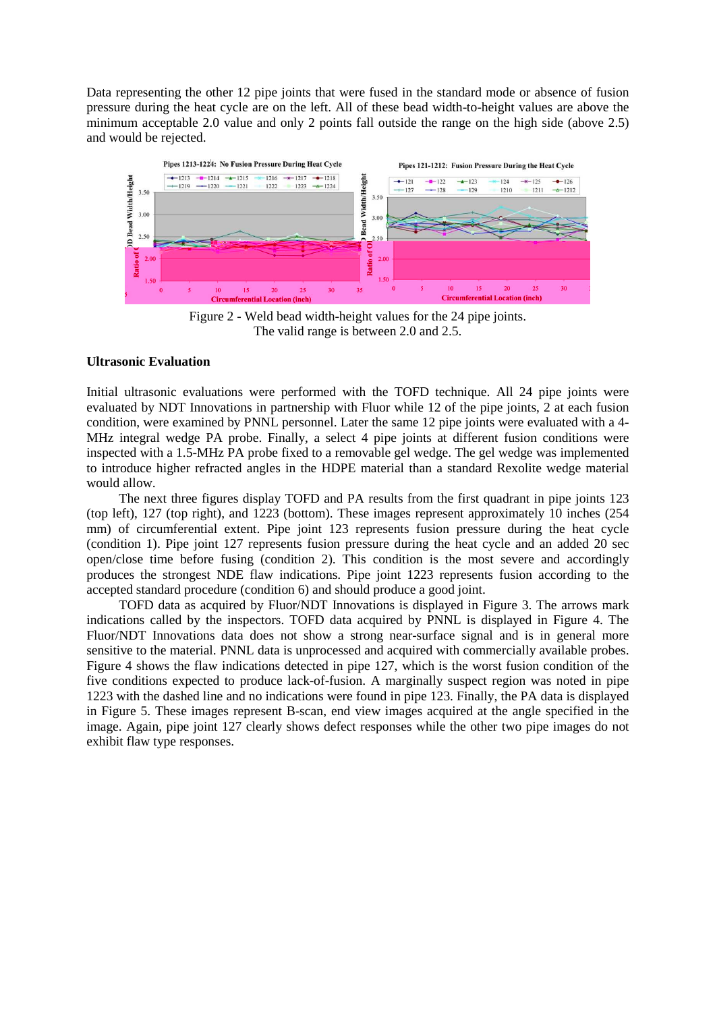Data representing the other 12 pipe joints that were fused in the standard mode or absence of fusion pressure during the heat cycle are on the left. All of these bead width-to-height values are above the minimum acceptable 2.0 value and only 2 points fall outside the range on the high side (above 2.5) and would be rejected.



Figure 2 - Weld bead width-height values for the 24 pipe joints. The valid range is between 2.0 and 2.5.

### **Ultrasonic Evaluation**

Initial ultrasonic evaluations were performed with the TOFD technique. All 24 pipe joints were evaluated by NDT Innovations in partnership with Fluor while 12 of the pipe joints, 2 at each fusion condition, were examined by PNNL personnel. Later the same 12 pipe joints were evaluated with a 4- MHz integral wedge PA probe. Finally, a select 4 pipe joints at different fusion conditions were inspected with a 1.5-MHz PA probe fixed to a removable gel wedge. The gel wedge was implemented to introduce higher refracted angles in the HDPE material than a standard Rexolite wedge material would allow.

The next three figures display TOFD and PA results from the first quadrant in pipe joints 123 (top left), 127 (top right), and 1223 (bottom). These images represent approximately 10 inches (254 mm) of circumferential extent. Pipe joint 123 represents fusion pressure during the heat cycle (condition 1). Pipe joint 127 represents fusion pressure during the heat cycle and an added 20 sec open/close time before fusing (condition 2). This condition is the most severe and accordingly produces the strongest NDE flaw indications. Pipe joint 1223 represents fusion according to the accepted standard procedure (condition 6) and should produce a good joint.

TOFD data as acquired by Fluor/NDT Innovations is displayed in Figure 3. The arrows mark indications called by the inspectors. TOFD data acquired by PNNL is displayed in Figure 4. The Fluor/NDT Innovations data does not show a strong near-surface signal and is in general more sensitive to the material. PNNL data is unprocessed and acquired with commercially available probes. Figure 4 shows the flaw indications detected in pipe 127, which is the worst fusion condition of the five conditions expected to produce lack-of-fusion. A marginally suspect region was noted in pipe 1223 with the dashed line and no indications were found in pipe 123. Finally, the PA data is displayed in Figure 5. These images represent B-scan, end view images acquired at the angle specified in the image. Again, pipe joint 127 clearly shows defect responses while the other two pipe images do not exhibit flaw type responses.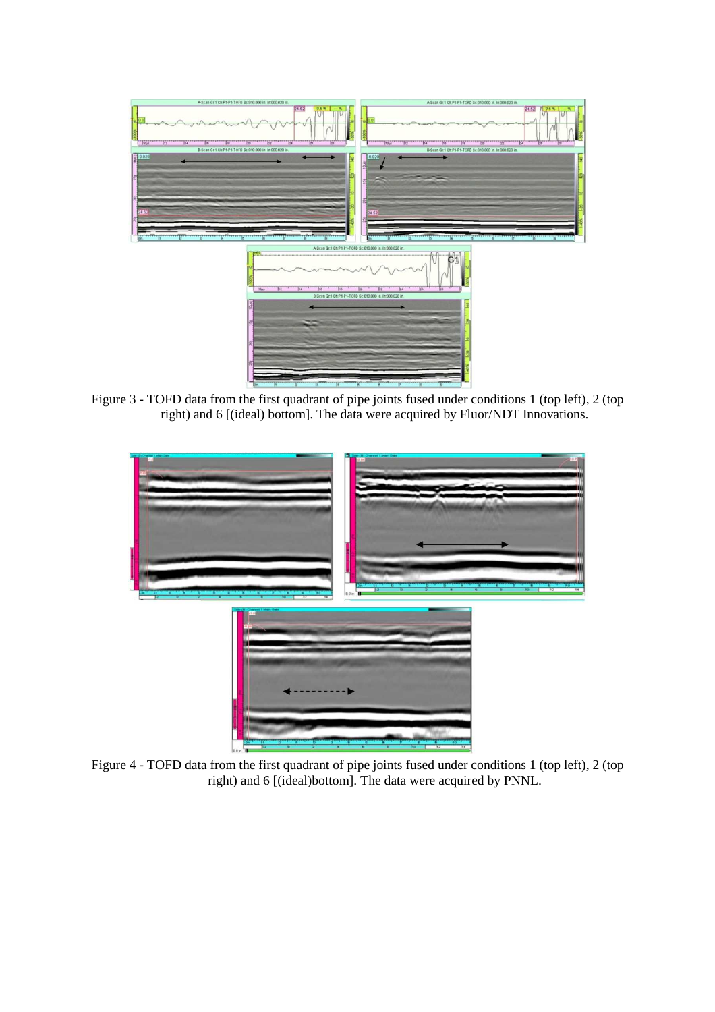

Figure 3 - TOFD data from the first quadrant of pipe joints fused under conditions 1 (top left), 2 (top right) and 6 [(ideal) bottom]. The data were acquired by Fluor/NDT Innovations.



Figure 4 - TOFD data from the first quadrant of pipe joints fused under conditions 1 (top left), 2 (top right) and 6 [(ideal)bottom]. The data were acquired by PNNL.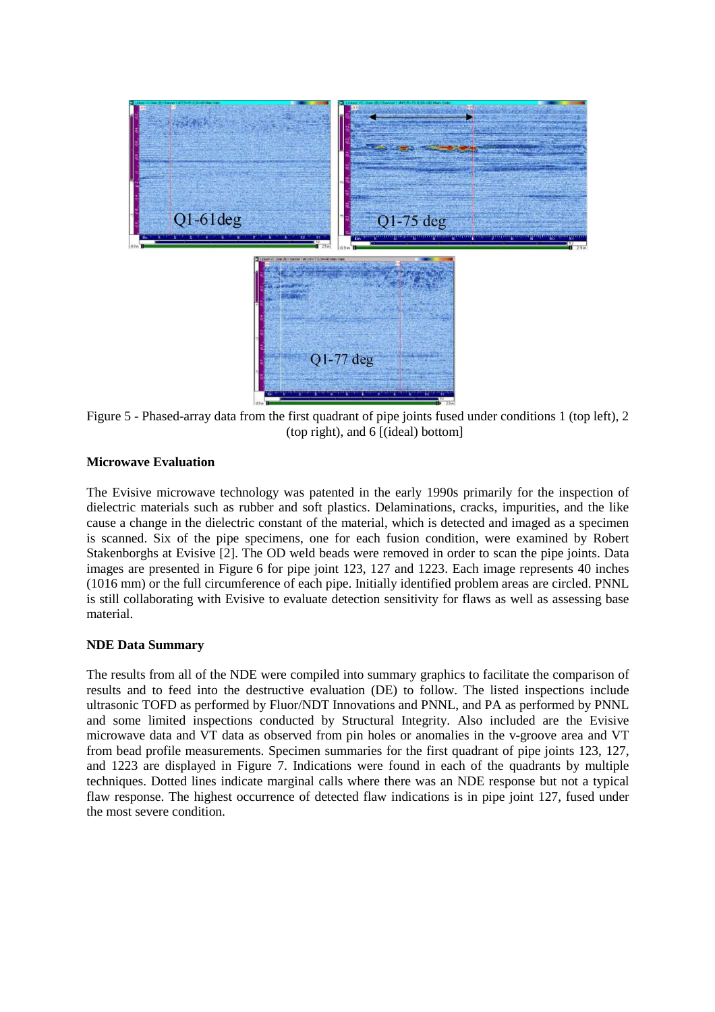

Figure 5 - Phased-array data from the first quadrant of pipe joints fused under conditions 1 (top left), 2 (top right), and 6 [(ideal) bottom]

# **Microwave Evaluation**

The Evisive microwave technology was patented in the early 1990s primarily for the inspection of dielectric materials such as rubber and soft plastics. Delaminations, cracks, impurities, and the like cause a change in the dielectric constant of the material, which is detected and imaged as a specimen is scanned. Six of the pipe specimens, one for each fusion condition, were examined by Robert Stakenborghs at Evisive [2]. The OD weld beads were removed in order to scan the pipe joints. Data images are presented in Figure 6 for pipe joint 123, 127 and 1223. Each image represents 40 inches (1016 mm) or the full circumference of each pipe. Initially identified problem areas are circled. PNNL is still collaborating with Evisive to evaluate detection sensitivity for flaws as well as assessing base material.

### **NDE Data Summary**

The results from all of the NDE were compiled into summary graphics to facilitate the comparison of results and to feed into the destructive evaluation (DE) to follow. The listed inspections include ultrasonic TOFD as performed by Fluor/NDT Innovations and PNNL, and PA as performed by PNNL and some limited inspections conducted by Structural Integrity. Also included are the Evisive microwave data and VT data as observed from pin holes or anomalies in the v-groove area and VT from bead profile measurements. Specimen summaries for the first quadrant of pipe joints 123, 127, and 1223 are displayed in Figure 7. Indications were found in each of the quadrants by multiple techniques. Dotted lines indicate marginal calls where there was an NDE response but not a typical flaw response. The highest occurrence of detected flaw indications is in pipe joint 127, fused under the most severe condition.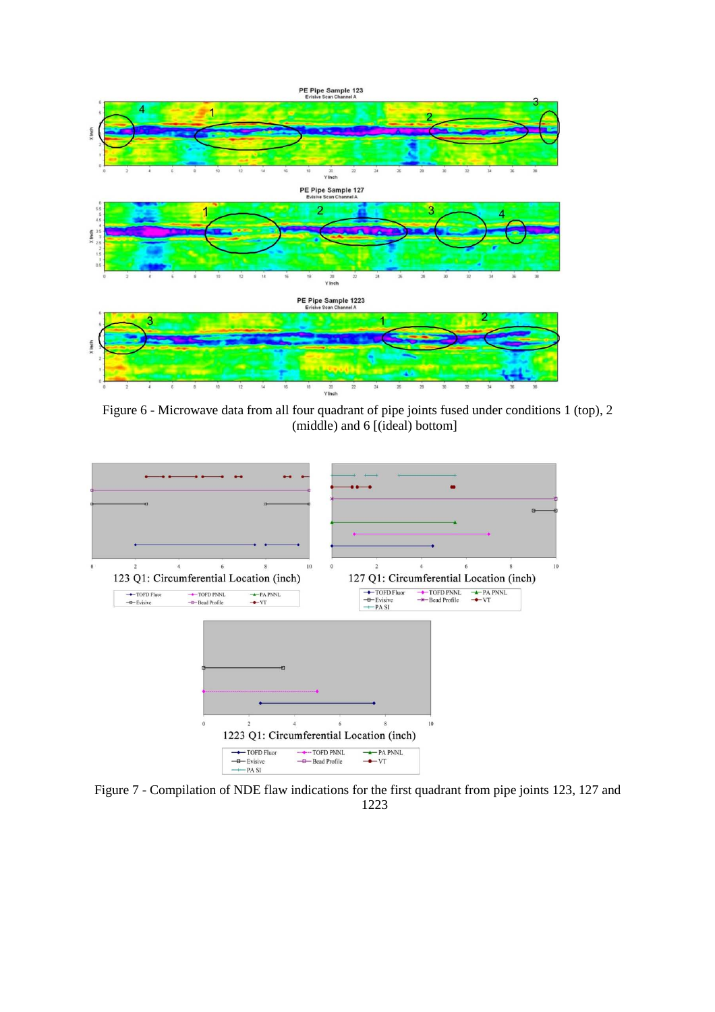

Figure 6 - Microwave data from all four quadrant of pipe joints fused under conditions 1 (top), 2 (middle) and 6 [(ideal) bottom]



Figure 7 - Compilation of NDE flaw indications for the first quadrant from pipe joints 123, 127 and 1223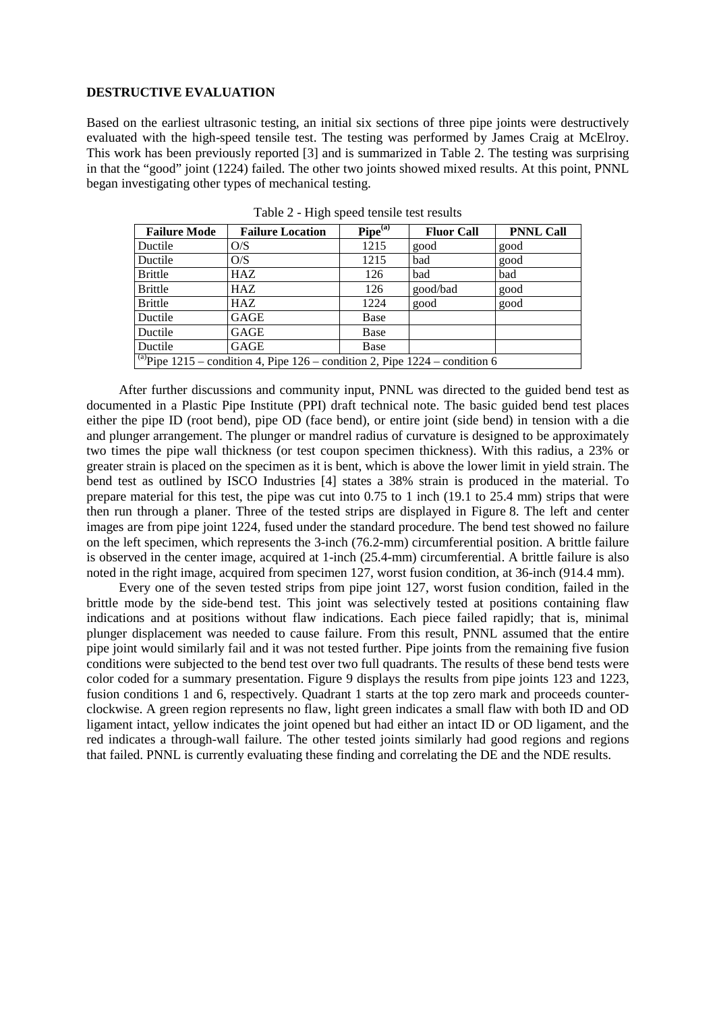### **DESTRUCTIVE EVALUATION**

Based on the earliest ultrasonic testing, an initial six sections of three pipe joints were destructively evaluated with the high-speed tensile test. The testing was performed by James Craig at McElroy. This work has been previously reported [3] and is summarized in Table 2. The testing was surprising in that the "good" joint (1224) failed. The other two joints showed mixed results. At this point, PNNL began investigating other types of mechanical testing.

| <b>Failure Mode</b>                                                                      | <b>Failure Location</b> | Pipe <sup>(a)</sup> | <b>Fluor Call</b> | <b>PNNL Call</b> |  |
|------------------------------------------------------------------------------------------|-------------------------|---------------------|-------------------|------------------|--|
| Ductile                                                                                  | O/S                     | 1215                | good              | good             |  |
| Ductile                                                                                  | O/S                     | 1215                | bad               | good             |  |
| <b>Brittle</b>                                                                           | <b>HAZ</b>              | 126                 | bad               | bad              |  |
| <b>Brittle</b>                                                                           | <b>HAZ</b>              | 126                 | good/bad          | good             |  |
| <b>Brittle</b>                                                                           | <b>HAZ</b>              | 1224                | good              | good             |  |
| Ductile                                                                                  | <b>GAGE</b>             | Base                |                   |                  |  |
| Ductile                                                                                  | GAGE                    | Base                |                   |                  |  |
| Ductile                                                                                  | GAGE                    | Base                |                   |                  |  |
| $\sqrt{^{(a)}}$ Pipe 1215 – condition 4, Pipe 126 – condition 2, Pipe 1224 – condition 6 |                         |                     |                   |                  |  |

Table 2 - High speed tensile test results

After further discussions and community input, PNNL was directed to the guided bend test as documented in a Plastic Pipe Institute (PPI) draft technical note. The basic guided bend test places either the pipe ID (root bend), pipe OD (face bend), or entire joint (side bend) in tension with a die and plunger arrangement. The plunger or mandrel radius of curvature is designed to be approximately two times the pipe wall thickness (or test coupon specimen thickness). With this radius, a 23% or greater strain is placed on the specimen as it is bent, which is above the lower limit in yield strain. The bend test as outlined by ISCO Industries [4] states a 38% strain is produced in the material. To prepare material for this test, the pipe was cut into 0.75 to 1 inch (19.1 to 25.4 mm) strips that were then run through a planer. Three of the tested strips are displayed in Figure 8. The left and center images are from pipe joint 1224, fused under the standard procedure. The bend test showed no failure on the left specimen, which represents the 3-inch (76.2-mm) circumferential position. A brittle failure is observed in the center image, acquired at 1-inch (25.4-mm) circumferential. A brittle failure is also noted in the right image, acquired from specimen 127, worst fusion condition, at 36-inch (914.4 mm).

Every one of the seven tested strips from pipe joint 127, worst fusion condition, failed in the brittle mode by the side-bend test. This joint was selectively tested at positions containing flaw indications and at positions without flaw indications. Each piece failed rapidly; that is, minimal plunger displacement was needed to cause failure. From this result, PNNL assumed that the entire pipe joint would similarly fail and it was not tested further. Pipe joints from the remaining five fusion conditions were subjected to the bend test over two full quadrants. The results of these bend tests were color coded for a summary presentation. Figure 9 displays the results from pipe joints 123 and 1223, fusion conditions 1 and 6, respectively. Quadrant 1 starts at the top zero mark and proceeds counterclockwise. A green region represents no flaw, light green indicates a small flaw with both ID and OD ligament intact, yellow indicates the joint opened but had either an intact ID or OD ligament, and the red indicates a through-wall failure. The other tested joints similarly had good regions and regions that failed. PNNL is currently evaluating these finding and correlating the DE and the NDE results.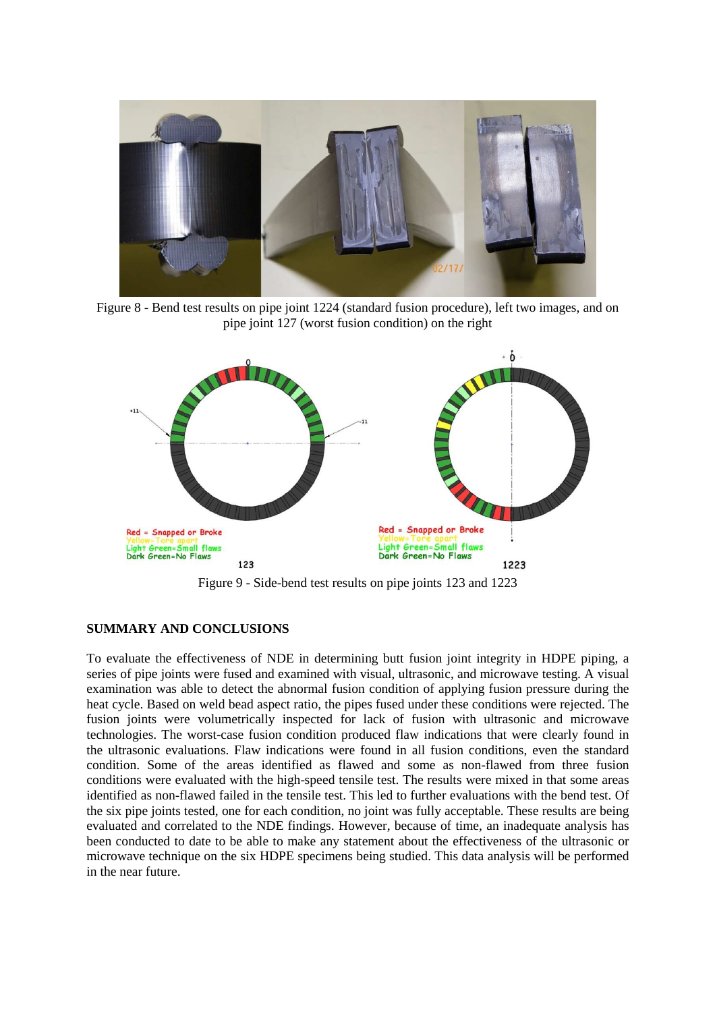

Figure 8 - Bend test results on pipe joint 1224 (standard fusion procedure), left two images, and on pipe joint 127 (worst fusion condition) on the right



Figure 9 - Side-bend test results on pipe joints 123 and 1223

# **SUMMARY AND CONCLUSIONS**

To evaluate the effectiveness of NDE in determining butt fusion joint integrity in HDPE piping, a series of pipe joints were fused and examined with visual, ultrasonic, and microwave testing. A visual examination was able to detect the abnormal fusion condition of applying fusion pressure during the heat cycle. Based on weld bead aspect ratio, the pipes fused under these conditions were rejected. The fusion joints were volumetrically inspected for lack of fusion with ultrasonic and microwave technologies. The worst-case fusion condition produced flaw indications that were clearly found in the ultrasonic evaluations. Flaw indications were found in all fusion conditions, even the standard condition. Some of the areas identified as flawed and some as non-flawed from three fusion conditions were evaluated with the high-speed tensile test. The results were mixed in that some areas identified as non-flawed failed in the tensile test. This led to further evaluations with the bend test. Of the six pipe joints tested, one for each condition, no joint was fully acceptable. These results are being evaluated and correlated to the NDE findings. However, because of time, an inadequate analysis has been conducted to date to be able to make any statement about the effectiveness of the ultrasonic or microwave technique on the six HDPE specimens being studied. This data analysis will be performed in the near future.